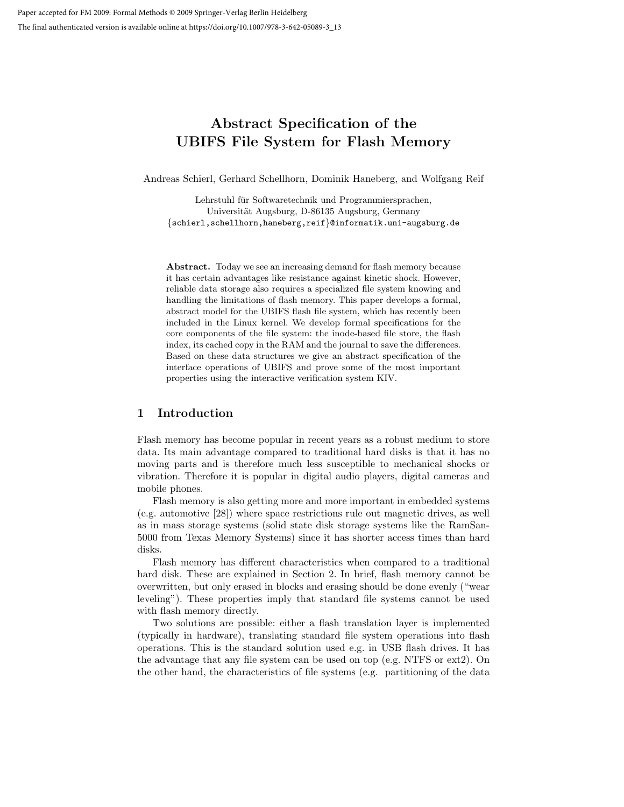# Abstract Specification of the UBIFS File System for Flash Memory

Andreas Schierl, Gerhard Schellhorn, Dominik Haneberg, and Wolfgang Reif

Lehrstuhl für Softwaretechnik und Programmiersprachen, Universität Augsburg, D-86135 Augsburg, Germany {schierl,schellhorn,haneberg,reif}@informatik.uni-augsburg.de

Abstract. Today we see an increasing demand for flash memory because it has certain advantages like resistance against kinetic shock. However, reliable data storage also requires a specialized file system knowing and handling the limitations of flash memory. This paper develops a formal, abstract model for the UBIFS flash file system, which has recently been included in the Linux kernel. We develop formal specifications for the core components of the file system: the inode-based file store, the flash index, its cached copy in the RAM and the journal to save the differences. Based on these data structures we give an abstract specification of the interface operations of UBIFS and prove some of the most important properties using the interactive verification system KIV.

## 1 Introduction

Flash memory has become popular in recent years as a robust medium to store data. Its main advantage compared to traditional hard disks is that it has no moving parts and is therefore much less susceptible to mechanical shocks or vibration. Therefore it is popular in digital audio players, digital cameras and mobile phones.

Flash memory is also getting more and more important in embedded systems (e.g. automotive [\[28\]](#page-15-0)) where space restrictions rule out magnetic drives, as well as in mass storage systems (solid state disk storage systems like the RamSan-5000 from Texas Memory Systems) since it has shorter access times than hard disks.

Flash memory has different characteristics when compared to a traditional hard disk. These are explained in Section [2.](#page-2-0) In brief, flash memory cannot be overwritten, but only erased in blocks and erasing should be done evenly ("wear leveling"). These properties imply that standard file systems cannot be used with flash memory directly.

Two solutions are possible: either a flash translation layer is implemented (typically in hardware), translating standard file system operations into flash operations. This is the standard solution used e.g. in USB flash drives. It has the advantage that any file system can be used on top (e.g. NTFS or ext2). On the other hand, the characteristics of file systems (e.g. partitioning of the data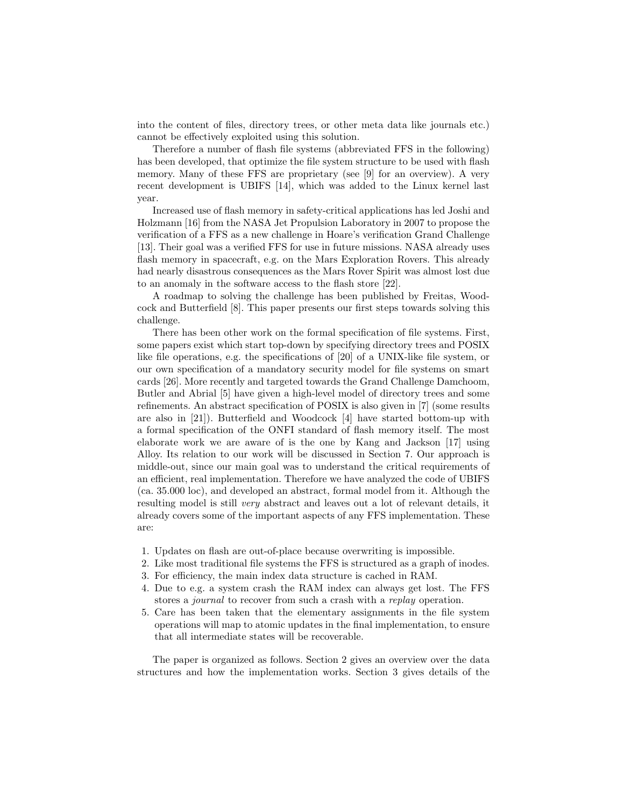into the content of files, directory trees, or other meta data like journals etc.) cannot be effectively exploited using this solution.

Therefore a number of flash file systems (abbreviated FFS in the following) has been developed, that optimize the file system structure to be used with flash memory. Many of these FFS are proprietary (see [\[9\]](#page-15-1) for an overview). A very recent development is UBIFS [\[14\]](#page-15-2), which was added to the Linux kernel last year.

Increased use of flash memory in safety-critical applications has led Joshi and Holzmann [\[16\]](#page-15-3) from the NASA Jet Propulsion Laboratory in 2007 to propose the verification of a FFS as a new challenge in Hoare's verification Grand Challenge [\[13\]](#page-15-4). Their goal was a verified FFS for use in future missions. NASA already uses flash memory in spacecraft, e.g. on the Mars Exploration Rovers. This already had nearly disastrous consequences as the Mars Rover Spirit was almost lost due to an anomaly in the software access to the flash store [\[22\]](#page-15-5).

A roadmap to solving the challenge has been published by Freitas, Woodcock and Butterfield [\[8\]](#page-15-6). This paper presents our first steps towards solving this challenge.

There has been other work on the formal specification of file systems. First, some papers exist which start top-down by specifying directory trees and POSIX like file operations, e.g. the specifications of [\[20\]](#page-15-7) of a UNIX-like file system, or our own specification of a mandatory security model for file systems on smart cards [\[26\]](#page-15-8). More recently and targeted towards the Grand Challenge Damchoom, Butler and Abrial [\[5\]](#page-14-0) have given a high-level model of directory trees and some refinements. An abstract specification of POSIX is also given in [\[7\]](#page-14-1) (some results are also in [\[21\]](#page-15-9)). Butterfield and Woodcock [\[4\]](#page-14-2) have started bottom-up with a formal specification of the ONFI standard of flash memory itself. The most elaborate work we are aware of is the one by Kang and Jackson [\[17\]](#page-15-10) using Alloy. Its relation to our work will be discussed in Section [7.](#page-12-0) Our approach is middle-out, since our main goal was to understand the critical requirements of an efficient, real implementation. Therefore we have analyzed the code of UBIFS (ca. 35.000 loc), and developed an abstract, formal model from it. Although the resulting model is still very abstract and leaves out a lot of relevant details, it already covers some of the important aspects of any FFS implementation. These are:

- 1. Updates on flash are out-of-place because overwriting is impossible.
- 2. Like most traditional file systems the FFS is structured as a graph of inodes.
- 3. For efficiency, the main index data structure is cached in RAM.
- 4. Due to e.g. a system crash the RAM index can always get lost. The FFS stores a journal to recover from such a crash with a replay operation.
- 5. Care has been taken that the elementary assignments in the file system operations will map to atomic updates in the final implementation, to ensure that all intermediate states will be recoverable.

The paper is organized as follows. Section [2](#page-2-0) gives an overview over the data structures and how the implementation works. Section [3](#page-4-0) gives details of the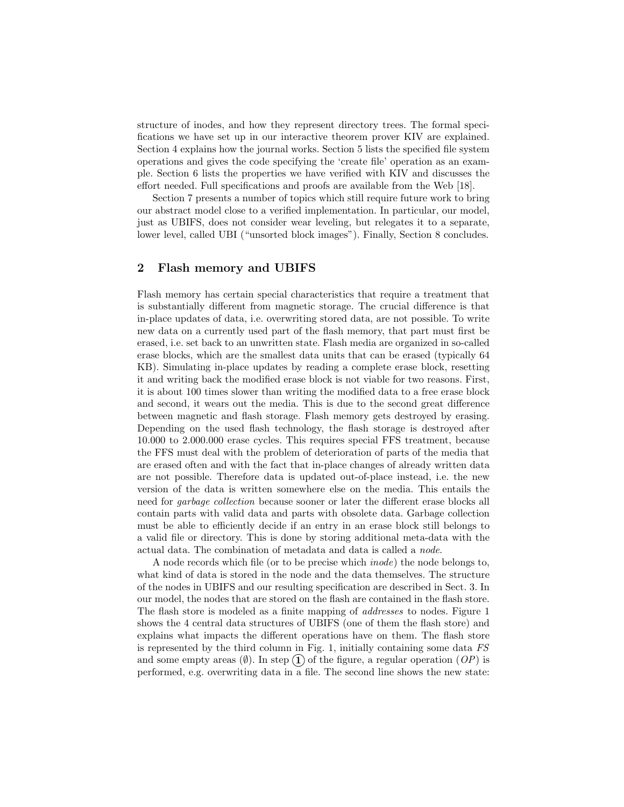structure of inodes, and how they represent directory trees. The formal specifications we have set up in our interactive theorem prover KIV are explained. Section [4](#page-6-0) explains how the journal works. Section [5](#page-7-0) lists the specified file system operations and gives the code specifying the 'create file' operation as an example. Section [6](#page-9-0) lists the properties we have verified with KIV and discusses the effort needed. Full specifications and proofs are available from the Web [\[18\]](#page-15-11).

Section [7](#page-12-0) presents a number of topics which still require future work to bring our abstract model close to a verified implementation. In particular, our model, just as UBIFS, does not consider wear leveling, but relegates it to a separate, lower level, called UBI ("unsorted block images"). Finally, Section [8](#page-14-3) concludes.

# <span id="page-2-0"></span>2 Flash memory and UBIFS

Flash memory has certain special characteristics that require a treatment that is substantially different from magnetic storage. The crucial difference is that in-place updates of data, i.e. overwriting stored data, are not possible. To write new data on a currently used part of the flash memory, that part must first be erased, i.e. set back to an unwritten state. Flash media are organized in so-called erase blocks, which are the smallest data units that can be erased (typically 64 KB). Simulating in-place updates by reading a complete erase block, resetting it and writing back the modified erase block is not viable for two reasons. First, it is about 100 times slower than writing the modified data to a free erase block and second, it wears out the media. This is due to the second great difference between magnetic and flash storage. Flash memory gets destroyed by erasing. Depending on the used flash technology, the flash storage is destroyed after 10.000 to 2.000.000 erase cycles. This requires special FFS treatment, because the FFS must deal with the problem of deterioration of parts of the media that are erased often and with the fact that in-place changes of already written data are not possible. Therefore data is updated out-of-place instead, i.e. the new version of the data is written somewhere else on the media. This entails the need for garbage collection because sooner or later the different erase blocks all contain parts with valid data and parts with obsolete data. Garbage collection must be able to efficiently decide if an entry in an erase block still belongs to a valid file or directory. This is done by storing additional meta-data with the actual data. The combination of metadata and data is called a node.

A node records which file (or to be precise which inode) the node belongs to, what kind of data is stored in the node and the data themselves. The structure of the nodes in UBIFS and our resulting specification are described in Sect. [3.](#page-4-0) In our model, the nodes that are stored on the flash are contained in the flash store. The flash store is modeled as a finite mapping of addresses to nodes. Figure [1](#page-3-0) shows the 4 central data structures of UBIFS (one of them the flash store) and explains what impacts the different operations have on them. The flash store is represented by the third column in Fig. [1,](#page-3-0) initially containing some data FS and some empty areas  $(\emptyset)$ . In step  $(1)$  of the figure, a regular operation  $(\overline{OP})$  is performed, e.g. overwriting data in a file. The second line shows the new state: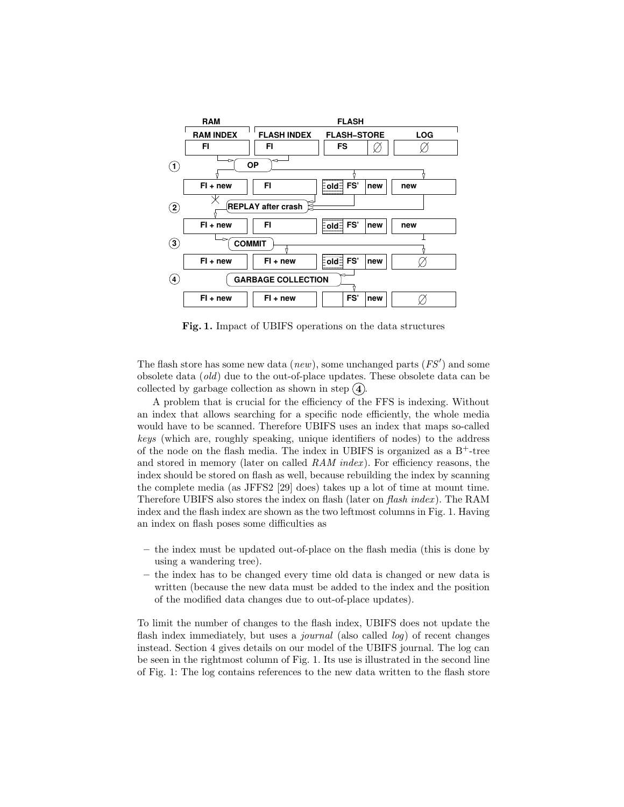

<span id="page-3-0"></span>Fig. 1. Impact of UBIFS operations on the data structures

The flash store has some new data  $(new)$ , some unchanged parts  $(FS')$  and some obsolete data  $(\text{old})$  due to the out-of-place updates. These obsolete data can be collected by garbage collection as shown in step  $(4)$ .

A problem that is crucial for the efficiency of the FFS is indexing. Without an index that allows searching for a specific node efficiently, the whole media would have to be scanned. Therefore UBIFS uses an index that maps so-called keys (which are, roughly speaking, unique identifiers of nodes) to the address of the node on the flash media. The index in UBIFS is organized as a  $B^+$ -tree and stored in memory (later on called  $RAM$  index). For efficiency reasons, the index should be stored on flash as well, because rebuilding the index by scanning the complete media (as JFFS2 [\[29\]](#page-15-12) does) takes up a lot of time at mount time. Therefore UBIFS also stores the index on flash (later on flash index ). The RAM index and the flash index are shown as the two leftmost columns in Fig. [1.](#page-3-0) Having an index on flash poses some difficulties as

- the index must be updated out-of-place on the flash media (this is done by using a wandering tree).
- the index has to be changed every time old data is changed or new data is written (because the new data must be added to the index and the position of the modified data changes due to out-of-place updates).

To limit the number of changes to the flash index, UBIFS does not update the flash index immediately, but uses a *journal* (also called *log*) of recent changes instead. Section [4](#page-6-0) gives details on our model of the UBIFS journal. The log can be seen in the rightmost column of Fig. [1.](#page-3-0) Its use is illustrated in the second line of Fig. [1:](#page-3-0) The log contains references to the new data written to the flash store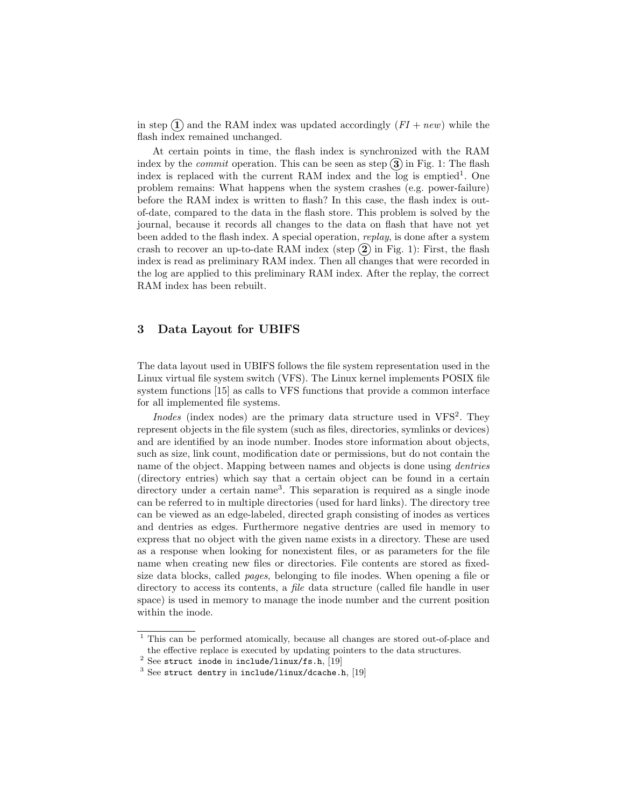in step  $\Omega$  and the RAM index was updated accordingly  $(FI + new)$  while the flash index remained unchanged.

At certain points in time, the flash index is synchronized with the RAM index by the *commit* operation. This can be seen as step  $(3)$  in Fig. [1:](#page-3-0) The flash index is replaced with the current RAM index and the  $log$  is emptied<sup>[1](#page-4-1)</sup>. One problem remains: What happens when the system crashes (e.g. power-failure) before the RAM index is written to flash? In this case, the flash index is outof-date, compared to the data in the flash store. This problem is solved by the journal, because it records all changes to the data on flash that have not yet been added to the flash index. A special operation, replay, is done after a system crash to recover an up-to-date RAM index (step  $(2)$  in Fig. [1\)](#page-3-0): First, the flash index is read as preliminary RAM index. Then all changes that were recorded in the log are applied to this preliminary RAM index. After the replay, the correct RAM index has been rebuilt.

## <span id="page-4-0"></span>3 Data Layout for UBIFS

The data layout used in UBIFS follows the file system representation used in the Linux virtual file system switch (VFS). The Linux kernel implements POSIX file system functions [\[15\]](#page-15-13) as calls to VFS functions that provide a common interface for all implemented file systems.

Inodes (index nodes) are the primary data structure used in VFS<sup>[2](#page-4-2)</sup>. They represent objects in the file system (such as files, directories, symlinks or devices) and are identified by an inode number. Inodes store information about objects, such as size, link count, modification date or permissions, but do not contain the name of the object. Mapping between names and objects is done using *dentries* (directory entries) which say that a certain object can be found in a certain directory under a certain name<sup>[3](#page-4-3)</sup>. This separation is required as a single inode can be referred to in multiple directories (used for hard links). The directory tree can be viewed as an edge-labeled, directed graph consisting of inodes as vertices and dentries as edges. Furthermore negative dentries are used in memory to express that no object with the given name exists in a directory. These are used as a response when looking for nonexistent files, or as parameters for the file name when creating new files or directories. File contents are stored as fixedsize data blocks, called pages, belonging to file inodes. When opening a file or directory to access its contents, a *file* data structure (called file handle in user space) is used in memory to manage the inode number and the current position within the inode.

<span id="page-4-1"></span><sup>1</sup> This can be performed atomically, because all changes are stored out-of-place and the effective replace is executed by updating pointers to the data structures.

<span id="page-4-2"></span><sup>&</sup>lt;sup>2</sup> See struct inode in include/linux/fs.h, [\[19\]](#page-15-14)

<span id="page-4-3"></span> $3$  See struct dentry in include/linux/dcache.h, [\[19\]](#page-15-14)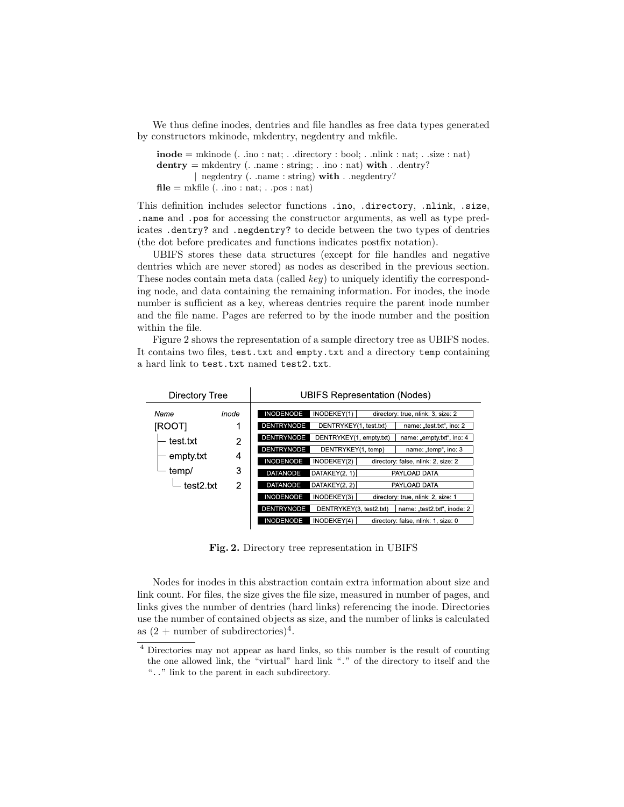We thus define inodes, dentries and file handles as free data types generated by constructors mkinode, mkdentry, negdentry and mkfile.

```
\mathbf{inode} = \text{mkinode} (. .ino : nat; . .directory : bool; . .nlink : nat; . .size : nat)
dentry = mkdentry (. .name : string; . .ino : nat) with . .dentry?
          | negdentry (. .name : string) with . .negdentry?
file = mkfile ( . .ino : nat; . .pos : nat)
```
This definition includes selector functions .ino, .directory, .nlink, .size, .name and .pos for accessing the constructor arguments, as well as type predicates .dentry? and .negdentry? to decide between the two types of dentries (the dot before predicates and functions indicates postfix notation).

UBIFS stores these data structures (except for file handles and negative dentries which are never stored) as nodes as described in the previous section. These nodes contain meta data (called key) to uniquely identifiy the corresponding node, and data containing the remaining information. For inodes, the inode number is sufficient as a key, whereas dentries require the parent inode number and the file name. Pages are referred to by the inode number and the position within the file.

Figure [2](#page-5-0) shows the representation of a sample directory tree as UBIFS nodes. It contains two files, test.txt and empty.txt and a directory temp containing a hard link to test.txt named test2.txt.

| Directory Tree |       | <b>UBIFS Representation (Nodes)</b>                                         |
|----------------|-------|-----------------------------------------------------------------------------|
| Name           | Inode | <b>NODENODE</b><br>INODEKEY(1)<br>directory: true, nlink: 3, size: 2        |
| <b>IROOTI</b>  | 1     | <b>DENTRYNODE</b><br>DENTRYKEY(1, test txt)<br>name: test txt". ino: 2      |
| test txt       | 2     | <b>DENTRYNODE</b><br>DENTRYKEY(1, empty.txt)<br>name: "empty.txt", ino: 4   |
| empty txt      | 4     | <b>DENTRYNODE</b><br>DENTRYKEY(1, temp)<br>name: "temp", ino: 3             |
|                |       | <b>NODENODE</b><br>INODEKEY(2)<br>directory: false, nlink: 2, size: 2       |
| temp/          | 3     | <b>DATANODE</b><br>DATAKEY(2, 1)<br>PAYLOAD DATA                            |
| test2.txt      | 2     | <b>DATANODE</b><br>DATAKEY(2, 2)<br>PAYLOAD DATA                            |
|                |       | <b>INODENODE</b><br>INODEKEY(3)<br>directory: true, nlink: 2, size: 1       |
|                |       | <b>DENTRYNODE</b><br>DENTRYKEY(3, test2.txt)<br>name: "test2.txt", inode: 2 |
|                |       | INODEKEY(4)<br><b>NODENODE</b><br>directory: false, nlink: 1, size: 0       |

<span id="page-5-0"></span>Fig. 2. Directory tree representation in UBIFS

Nodes for inodes in this abstraction contain extra information about size and link count. For files, the size gives the file size, measured in number of pages, and links gives the number of dentries (hard links) referencing the inode. Directories use the number of contained objects as size, and the number of links is calculated as  $(2 + \text{number of subdirectories})^4$  $(2 + \text{number of subdirectories})^4$ .

<span id="page-5-1"></span><sup>4</sup> Directories may not appear as hard links, so this number is the result of counting the one allowed link, the "virtual" hard link "." of the directory to itself and the ".." link to the parent in each subdirectory.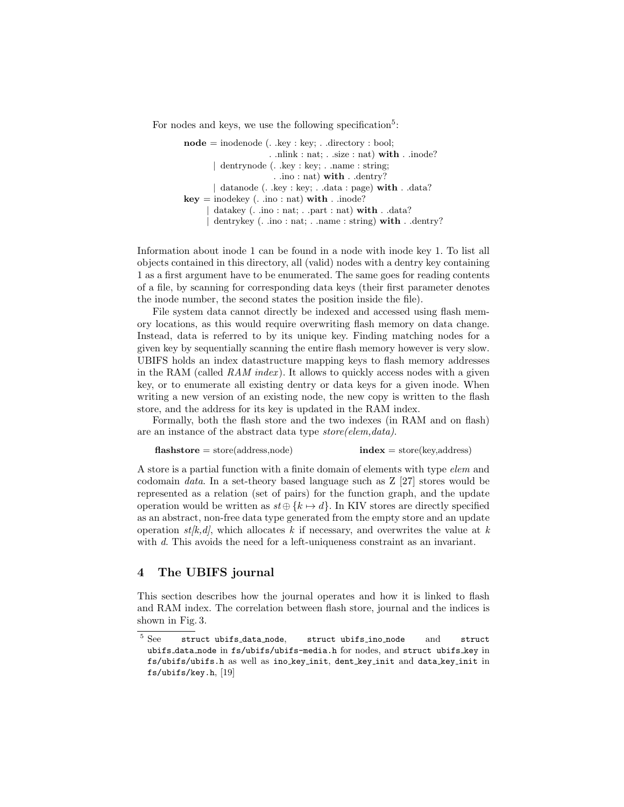For nodes and keys, we use the following specification<sup>[5](#page-6-1)</sup>:

 $\mathbf{node} = \text{inodenode}$  (. .key : key; . .directory : bool; . .nlink : nat; . .size : nat) with . .inode? | dentrynode (. .key : key; . .name : string; . .ino : nat) with . .dentry? datanode (. .key : key; . .data : page) with . .data?  $key = indekey ( . .ino : nat) with . .inode?$ datakey (. .ino : nat; . .part : nat) with . .data? | dentrykey (. .ino : nat; . .name : string) with . .dentry?

Information about inode 1 can be found in a node with inode key 1. To list all objects contained in this directory, all (valid) nodes with a dentry key containing 1 as a first argument have to be enumerated. The same goes for reading contents of a file, by scanning for corresponding data keys (their first parameter denotes the inode number, the second states the position inside the file).

File system data cannot directly be indexed and accessed using flash memory locations, as this would require overwriting flash memory on data change. Instead, data is referred to by its unique key. Finding matching nodes for a given key by sequentially scanning the entire flash memory however is very slow. UBIFS holds an index datastructure mapping keys to flash memory addresses in the RAM (called  $RAM$  index). It allows to quickly access nodes with a given key, or to enumerate all existing dentry or data keys for a given inode. When writing a new version of an existing node, the new copy is written to the flash store, and the address for its key is updated in the RAM index.

Formally, both the flash store and the two indexes (in RAM and on flash) are an instance of the abstract data type store(elem,data).

```
\text{flashstore} = \text{store}(\text{address}, \text{node}) index = store(key,address)
```
A store is a partial function with a finite domain of elements with type elem and codomain data. In a set-theory based language such as Z [\[27\]](#page-15-15) stores would be represented as a relation (set of pairs) for the function graph, and the update operation would be written as  $st \oplus \{k \mapsto d\}$ . In KIV stores are directly specified as an abstract, non-free data type generated from the empty store and an update operation  $st/k, d$ , which allocates k if necessary, and overwrites the value at k with d. This avoids the need for a left-uniqueness constraint as an invariant.

## <span id="page-6-0"></span>4 The UBIFS journal

This section describes how the journal operates and how it is linked to flash and RAM index. The correlation between flash store, journal and the indices is shown in Fig. [3.](#page-7-1)

<span id="page-6-1"></span> $5$  See struct ubifs\_data\_node, struct ubifs\_ino\_node and struct ubifs data node in fs/ubifs/ubifs-media.h for nodes, and struct ubifs key in fs/ubifs/ubifs.h as well as ino key init, dent key init and data key init in fs/ubifs/key.h, [\[19\]](#page-15-14)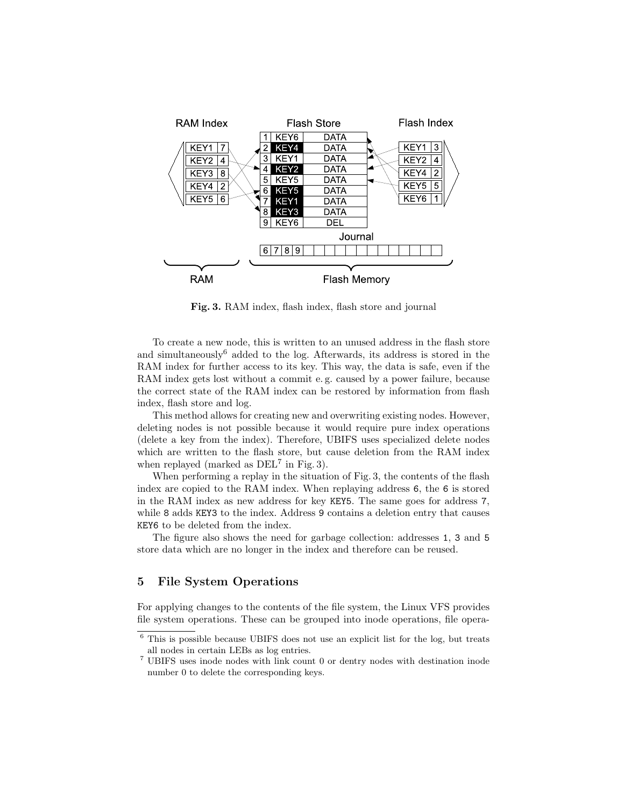

<span id="page-7-1"></span>Fig. 3. RAM index, flash index, flash store and journal

To create a new node, this is written to an unused address in the flash store and simultaneously<sup>[6](#page-7-2)</sup> added to the log. Afterwards, its address is stored in the RAM index for further access to its key. This way, the data is safe, even if the RAM index gets lost without a commit e. g. caused by a power failure, because the correct state of the RAM index can be restored by information from flash index, flash store and log.

This method allows for creating new and overwriting existing nodes. However, deleting nodes is not possible because it would require pure index operations (delete a key from the index). Therefore, UBIFS uses specialized delete nodes which are written to the flash store, but cause deletion from the RAM index when replayed (marked as  $DEL<sup>7</sup>$  $DEL<sup>7</sup>$  $DEL<sup>7</sup>$  in Fig. [3\)](#page-7-1).

When performing a replay in the situation of Fig. [3,](#page-7-1) the contents of the flash index are copied to the RAM index. When replaying address 6, the 6 is stored in the RAM index as new address for key KEY5. The same goes for address 7, while 8 adds KEY3 to the index. Address 9 contains a deletion entry that causes KEY6 to be deleted from the index.

The figure also shows the need for garbage collection: addresses 1, 3 and 5 store data which are no longer in the index and therefore can be reused.

# <span id="page-7-0"></span>5 File System Operations

For applying changes to the contents of the file system, the Linux VFS provides file system operations. These can be grouped into inode operations, file opera-

<span id="page-7-2"></span> $\frac{6}{6}$  This is possible because UBIFS does not use an explicit list for the log, but treats all nodes in certain LEBs as log entries.

<span id="page-7-3"></span><sup>7</sup> UBIFS uses inode nodes with link count 0 or dentry nodes with destination inode number 0 to delete the corresponding keys.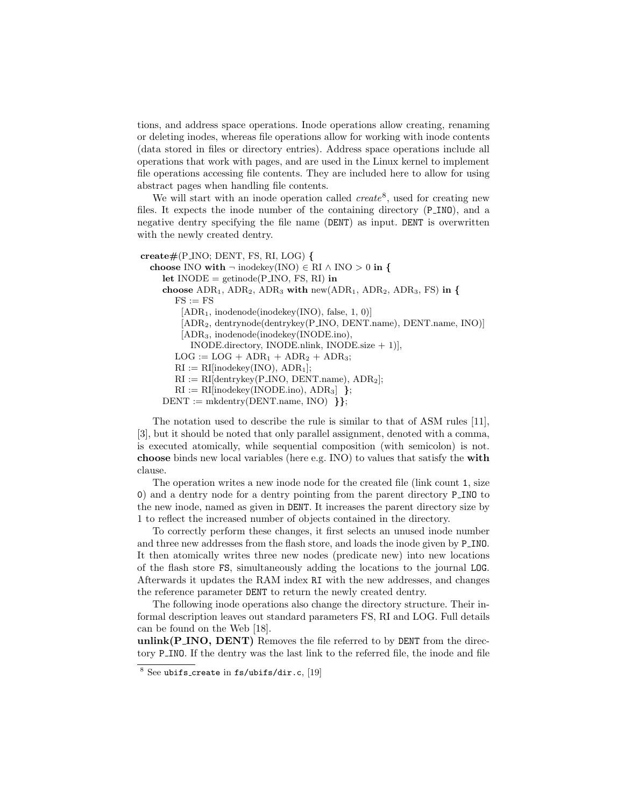tions, and address space operations. Inode operations allow creating, renaming or deleting inodes, whereas file operations allow for working with inode contents (data stored in files or directory entries). Address space operations include all operations that work with pages, and are used in the Linux kernel to implement file operations accessing file contents. They are included here to allow for using abstract pages when handling file contents.

We will start with an inode operation called  $create^8$  $create^8$ , used for creating new files. It expects the inode number of the containing directory (P\_INO), and a negative dentry specifying the file name (DENT) as input. DENT is overwritten with the newly created dentry.

```
create#(P \text{JNO}; \text{DENT}, \text{FS}, \text{RI}, \text{LOG}) {
  choose INO with \neg inodekey(INO) \in RI \wedge INO > 0 in {
     let INODE = getinode(P\_INO, FS, RI) in
     choose ADR_1, ADR_2, ADR_3 with new(ADR_1, ADR_2, ADR_3, FS) in {
        FS := FS[ADR1, inodenode(inodekey(INO), false, 1, 0)]
          [ADR2, dentrynode(dentrykey(P INO, DENT.name), DENT.name, INO)]
          [ADR3, inodenode(inodekey(INODE.ino),
            INODE.directory, INODE.nlink, INODE.size + 1)],
        LOG := LOG + ADR<sub>1</sub> + ADR<sub>2</sub> + ADR<sub>3</sub>;RI := RI[inodekey(INO), ADR_1];
        RI := RI[dentrykey(P\_INO, DENT.name), ADR<sub>2</sub>];RI := RI[inodekey(INODE.ino), ADR_3] };
     DEF T := \text{mkdentry}(DEF \text{Lram}, \text{INO}) }
```
The notation used to describe the rule is similar to that of ASM rules [\[11\]](#page-15-16), [\[3\]](#page-14-4), but it should be noted that only parallel assignment, denoted with a comma, is executed atomically, while sequential composition (with semicolon) is not. choose binds new local variables (here e.g. INO) to values that satisfy the with clause.

The operation writes a new inode node for the created file (link count 1, size 0) and a dentry node for a dentry pointing from the parent directory P INO to the new inode, named as given in DENT. It increases the parent directory size by 1 to reflect the increased number of objects contained in the directory.

To correctly perform these changes, it first selects an unused inode number and three new addresses from the flash store, and loads the inode given by P INO. It then atomically writes three new nodes (predicate new) into new locations of the flash store FS, simultaneously adding the locations to the journal LOG. Afterwards it updates the RAM index RI with the new addresses, and changes the reference parameter DENT to return the newly created dentry.

The following inode operations also change the directory structure. Their informal description leaves out standard parameters FS, RI and LOG. Full details can be found on the Web [\[18\]](#page-15-11).

 $unlink(P_INO, DENT)$  Removes the file referred to by DENT from the directory P INO. If the dentry was the last link to the referred file, the inode and file

<span id="page-8-0"></span> $8$  See ubifs\_create in fs/ubifs/dir.c, [\[19\]](#page-15-14)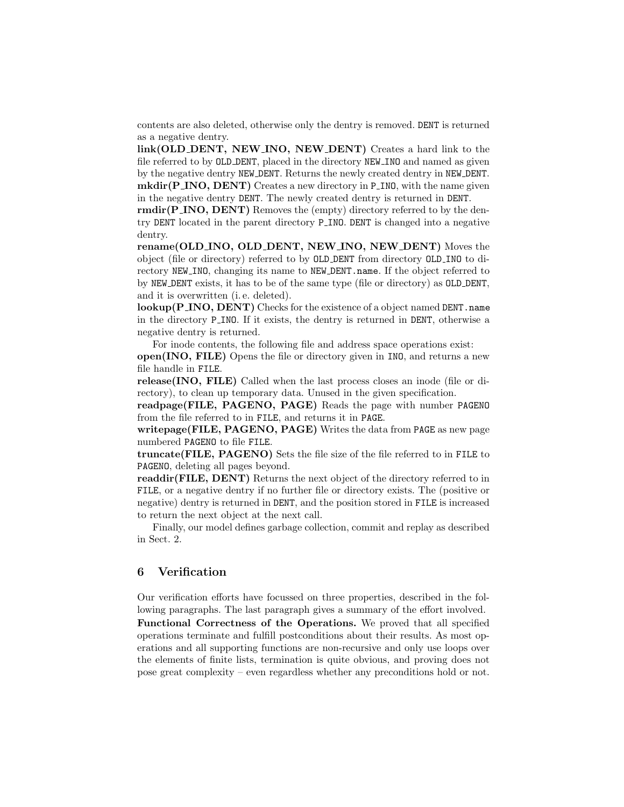contents are also deleted, otherwise only the dentry is removed. DENT is returned as a negative dentry.

link(OLD DENT, NEW INO, NEW DENT) Creates a hard link to the file referred to by OLD DENT, placed in the directory NEW\_INO and named as given by the negative dentry NEW DENT. Returns the newly created dentry in NEW DENT. mkdir(P\_INO, DENT) Creates a new directory in P\_INO, with the name given in the negative dentry DENT. The newly created dentry is returned in DENT.

rmdir(P\_INO, DENT) Removes the (empty) directory referred to by the dentry DENT located in the parent directory P INO. DENT is changed into a negative dentry.

rename(OLD\_INO, OLD\_DENT, NEW\_INO, NEW\_DENT) Moves the object (file or directory) referred to by OLD DENT from directory OLD INO to directory NEW INO, changing its name to NEW DENT.name. If the object referred to by NEW DENT exists, it has to be of the same type (file or directory) as OLD DENT, and it is overwritten (i. e. deleted).

lookup(P\_INO, DENT) Checks for the existence of a object named DENT.name in the directory P\_INO. If it exists, the dentry is returned in DENT, otherwise a negative dentry is returned.

For inode contents, the following file and address space operations exist:

**open**(INO, FILE) Opens the file or directory given in  $\text{INO}$ , and returns a new file handle in FILE.

release(INO, FILE) Called when the last process closes an inode (file or directory), to clean up temporary data. Unused in the given specification.

readpage(FILE, PAGENO, PAGE) Reads the page with number PAGENO from the file referred to in FILE, and returns it in PAGE.

writepage(FILE, PAGENO, PAGE) Writes the data from PAGE as new page numbered PAGENO to file FILE.

truncate(FILE, PAGENO) Sets the file size of the file referred to in FILE to PAGENO, deleting all pages beyond.

readdir(FILE, DENT) Returns the next object of the directory referred to in FILE, or a negative dentry if no further file or directory exists. The (positive or negative) dentry is returned in DENT, and the position stored in FILE is increased to return the next object at the next call.

Finally, our model defines garbage collection, commit and replay as described in Sect. [2.](#page-2-0)

# <span id="page-9-0"></span>6 Verification

Our verification efforts have focussed on three properties, described in the following paragraphs. The last paragraph gives a summary of the effort involved.

Functional Correctness of the Operations. We proved that all specified operations terminate and fulfill postconditions about their results. As most operations and all supporting functions are non-recursive and only use loops over the elements of finite lists, termination is quite obvious, and proving does not pose great complexity – even regardless whether any preconditions hold or not.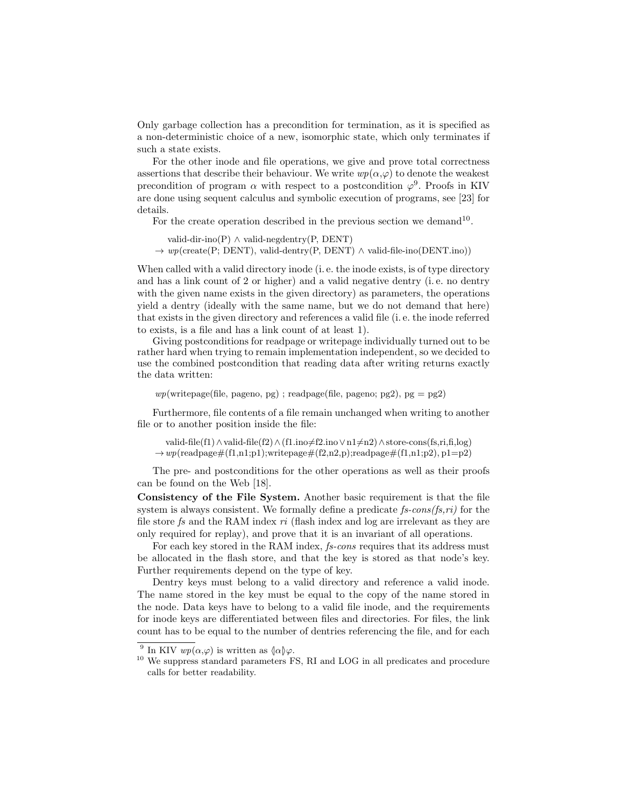Only garbage collection has a precondition for termination, as it is specified as a non-deterministic choice of a new, isomorphic state, which only terminates if such a state exists.

For the other inode and file operations, we give and prove total correctness assertions that describe their behaviour. We write  $wp(\alpha, \varphi)$  to denote the weakest precondition of program  $\alpha$  with respect to a postcondition  $\varphi^9$  $\varphi^9$ . Proofs in KIV are done using sequent calculus and symbolic execution of programs, see [\[23\]](#page-15-17) for details.

For the create operation described in the previous section we demand  $10$ .

valid-dir-ino(P)  $\land$  valid-negdentry(P, DENT)  $\rightarrow wp(\text{create}(P; DENT), \text{valid-dentry}(P, DENT) \land \text{valid-file-ino}(DENT.ino))$ 

When called with a valid directory inode (i.e. the inode exists, is of type directory and has a link count of 2 or higher) and a valid negative dentry (i. e. no dentry with the given name exists in the given directory) as parameters, the operations yield a dentry (ideally with the same name, but we do not demand that here) that exists in the given directory and references a valid file (i. e. the inode referred to exists, is a file and has a link count of at least 1).

Giving postconditions for readpage or writepage individually turned out to be rather hard when trying to remain implementation independent, so we decided to use the combined postcondition that reading data after writing returns exactly the data written:

 $wp(writepage(file, pageno, pg)$ ; readpage(file, pageno; pg2), pg = pg2)

Furthermore, file contents of a file remain unchanged when writing to another file or to another position inside the file:

valid-file(f1)∧valid-file(f2)∧(f1.ino≠f2.ino∨n1≠n2)∧store-cons(fs,ri,fi,log)  $\rightarrow wp(\text{readpage#}(f1,n1;p1);\text{writepage#}(f2,n2,p);\text{readpage#}(f1,n1;p2),p1=p2)$ 

The pre- and postconditions for the other operations as well as their proofs can be found on the Web [\[18\]](#page-15-11).

Consistency of the File System. Another basic requirement is that the file system is always consistent. We formally define a predicate  $fs\text{-}cons(fs,ri)$  for the file store  $fs$  and the RAM index  $ri$  (flash index and log are irrelevant as they are only required for replay), and prove that it is an invariant of all operations.

For each key stored in the RAM index,  $fs-cons$  requires that its address must be allocated in the flash store, and that the key is stored as that node's key. Further requirements depend on the type of key.

Dentry keys must belong to a valid directory and reference a valid inode. The name stored in the key must be equal to the copy of the name stored in the node. Data keys have to belong to a valid file inode, and the requirements for inode keys are differentiated between files and directories. For files, the link count has to be equal to the number of dentries referencing the file, and for each

<span id="page-10-0"></span><sup>&</sup>lt;sup>9</sup> In KIV  $wp(\alpha,\varphi)$  is written as  $\langle \alpha | \varphi$ .

<span id="page-10-1"></span> $10$  We suppress standard parameters FS, RI and LOG in all predicates and procedure calls for better readability.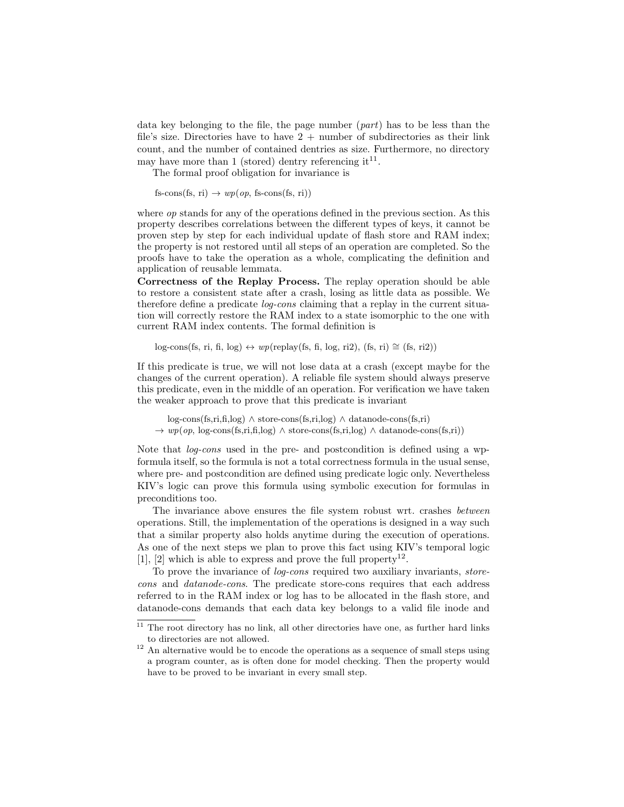data key belonging to the file, the page number (part) has to be less than the file's size. Directories have to have  $2 +$  number of subdirectories as their link count, and the number of contained dentries as size. Furthermore, no directory may have more than 1 (stored) dentry referencing  $it^{11}$  $it^{11}$  $it^{11}$ .

The formal proof obligation for invariance is

fs-cons(fs, ri)  $\rightarrow wp(op, fs-cons(fs, ri))$ 

where *op* stands for any of the operations defined in the previous section. As this property describes correlations between the different types of keys, it cannot be proven step by step for each individual update of flash store and RAM index; the property is not restored until all steps of an operation are completed. So the proofs have to take the operation as a whole, complicating the definition and application of reusable lemmata.

Correctness of the Replay Process. The replay operation should be able to restore a consistent state after a crash, losing as little data as possible. We therefore define a predicate log-cons claiming that a replay in the current situation will correctly restore the RAM index to a state isomorphic to the one with current RAM index contents. The formal definition is

log-cons(fs, ri, fi, log) ↔ wp(replay(fs, fi, log, ri2), (fs, ri)  $\cong$  (fs, ri2))

If this predicate is true, we will not lose data at a crash (except maybe for the changes of the current operation). A reliable file system should always preserve this predicate, even in the middle of an operation. For verification we have taken the weaker approach to prove that this predicate is invariant

```
log-cons(fs,ri,fi,log) ∧ store-cons(fs,ri,log) ∧ datanode-cons(fs,ri)
\rightarrow wp(op, log-cons(fs,ri,fi,log) \land store-cons(fs,ri,log) \land datanode-cons(fs,ri))
```
Note that log-cons used in the pre- and postcondition is defined using a wpformula itself, so the formula is not a total correctness formula in the usual sense, where pre- and postcondition are defined using predicate logic only. Nevertheless KIV's logic can prove this formula using symbolic execution for formulas in preconditions too.

The invariance above ensures the file system robust wrt. crashes between operations. Still, the implementation of the operations is designed in a way such that a similar property also holds anytime during the execution of operations. As one of the next steps we plan to prove this fact using KIV's temporal logic [\[1\]](#page-14-5), [\[2\]](#page-14-6) which is able to express and prove the full property<sup>[12](#page-11-1)</sup>.

To prove the invariance of log-cons required two auxiliary invariants, storecons and datanode-cons. The predicate store-cons requires that each address referred to in the RAM index or log has to be allocated in the flash store, and datanode-cons demands that each data key belongs to a valid file inode and

<span id="page-11-0"></span> $11$  The root directory has no link, all other directories have one, as further hard links to directories are not allowed.

<span id="page-11-1"></span> $^{12}$  An alternative would be to encode the operations as a sequence of small steps using a program counter, as is often done for model checking. Then the property would have to be proved to be invariant in every small step.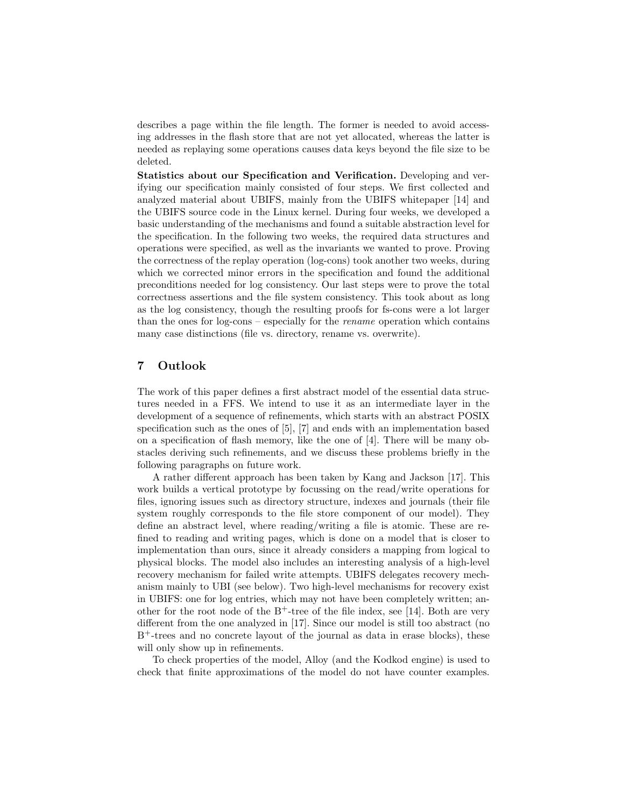describes a page within the file length. The former is needed to avoid accessing addresses in the flash store that are not yet allocated, whereas the latter is needed as replaying some operations causes data keys beyond the file size to be deleted.

Statistics about our Specification and Verification. Developing and verifying our specification mainly consisted of four steps. We first collected and analyzed material about UBIFS, mainly from the UBIFS whitepaper [\[14\]](#page-15-2) and the UBIFS source code in the Linux kernel. During four weeks, we developed a basic understanding of the mechanisms and found a suitable abstraction level for the specification. In the following two weeks, the required data structures and operations were specified, as well as the invariants we wanted to prove. Proving the correctness of the replay operation (log-cons) took another two weeks, during which we corrected minor errors in the specification and found the additional preconditions needed for log consistency. Our last steps were to prove the total correctness assertions and the file system consistency. This took about as long as the log consistency, though the resulting proofs for fs-cons were a lot larger than the ones for log-cons – especially for the rename operation which contains many case distinctions (file vs. directory, rename vs. overwrite).

#### <span id="page-12-0"></span>7 Outlook

The work of this paper defines a first abstract model of the essential data structures needed in a FFS. We intend to use it as an intermediate layer in the development of a sequence of refinements, which starts with an abstract POSIX specification such as the ones of [\[5\]](#page-14-0), [\[7\]](#page-14-1) and ends with an implementation based on a specification of flash memory, like the one of [\[4\]](#page-14-2). There will be many obstacles deriving such refinements, and we discuss these problems briefly in the following paragraphs on future work.

A rather different approach has been taken by Kang and Jackson [\[17\]](#page-15-10). This work builds a vertical prototype by focussing on the read/write operations for files, ignoring issues such as directory structure, indexes and journals (their file system roughly corresponds to the file store component of our model). They define an abstract level, where reading/writing a file is atomic. These are refined to reading and writing pages, which is done on a model that is closer to implementation than ours, since it already considers a mapping from logical to physical blocks. The model also includes an interesting analysis of a high-level recovery mechanism for failed write attempts. UBIFS delegates recovery mechanism mainly to UBI (see below). Two high-level mechanisms for recovery exist in UBIFS: one for log entries, which may not have been completely written; another for the root node of the  $B^+$ -tree of the file index, see [\[14\]](#page-15-2). Both are very different from the one analyzed in [\[17\]](#page-15-10). Since our model is still too abstract (no B <sup>+</sup>-trees and no concrete layout of the journal as data in erase blocks), these will only show up in refinements.

To check properties of the model, Alloy (and the Kodkod engine) is used to check that finite approximations of the model do not have counter examples.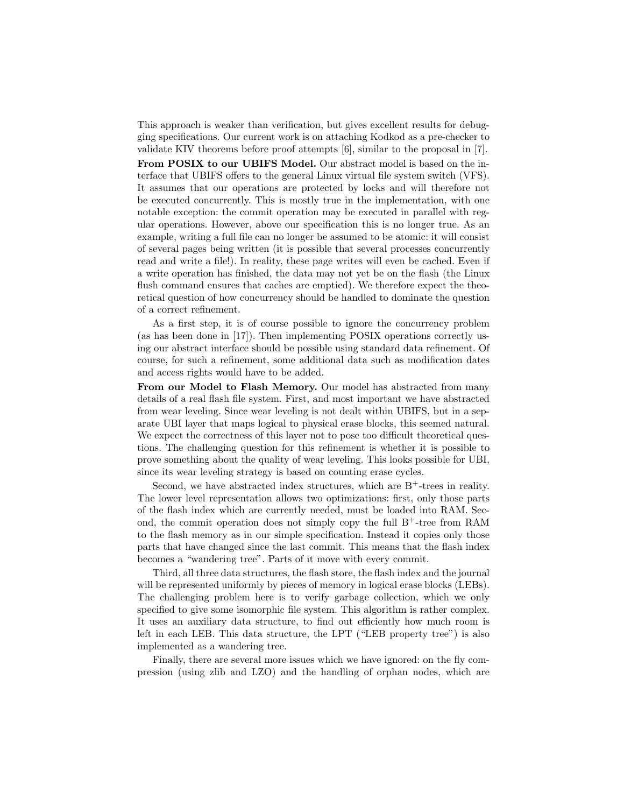This approach is weaker than verification, but gives excellent results for debugging specifications. Our current work is on attaching Kodkod as a pre-checker to validate KIV theorems before proof attempts [\[6\]](#page-14-7), similar to the proposal in [\[7\]](#page-14-1).

From POSIX to our UBIFS Model. Our abstract model is based on the interface that UBIFS offers to the general Linux virtual file system switch (VFS). It assumes that our operations are protected by locks and will therefore not be executed concurrently. This is mostly true in the implementation, with one notable exception: the commit operation may be executed in parallel with regular operations. However, above our specification this is no longer true. As an example, writing a full file can no longer be assumed to be atomic: it will consist of several pages being written (it is possible that several processes concurrently read and write a file!). In reality, these page writes will even be cached. Even if a write operation has finished, the data may not yet be on the flash (the Linux flush command ensures that caches are emptied). We therefore expect the theoretical question of how concurrency should be handled to dominate the question of a correct refinement.

As a first step, it is of course possible to ignore the concurrency problem (as has been done in [\[17\]](#page-15-10)). Then implementing POSIX operations correctly using our abstract interface should be possible using standard data refinement. Of course, for such a refinement, some additional data such as modification dates and access rights would have to be added.

From our Model to Flash Memory. Our model has abstracted from many details of a real flash file system. First, and most important we have abstracted from wear leveling. Since wear leveling is not dealt within UBIFS, but in a separate UBI layer that maps logical to physical erase blocks, this seemed natural. We expect the correctness of this layer not to pose too difficult theoretical questions. The challenging question for this refinement is whether it is possible to prove something about the quality of wear leveling. This looks possible for UBI, since its wear leveling strategy is based on counting erase cycles.

Second, we have abstracted index structures, which are  $B^+$ -trees in reality. The lower level representation allows two optimizations: first, only those parts of the flash index which are currently needed, must be loaded into RAM. Second, the commit operation does not simply copy the full  $B^+$ -tree from RAM to the flash memory as in our simple specification. Instead it copies only those parts that have changed since the last commit. This means that the flash index becomes a "wandering tree". Parts of it move with every commit.

Third, all three data structures, the flash store, the flash index and the journal will be represented uniformly by pieces of memory in logical erase blocks (LEBs). The challenging problem here is to verify garbage collection, which we only specified to give some isomorphic file system. This algorithm is rather complex. It uses an auxiliary data structure, to find out efficiently how much room is left in each LEB. This data structure, the LPT ("LEB property tree") is also implemented as a wandering tree.

Finally, there are several more issues which we have ignored: on the fly compression (using zlib and LZO) and the handling of orphan nodes, which are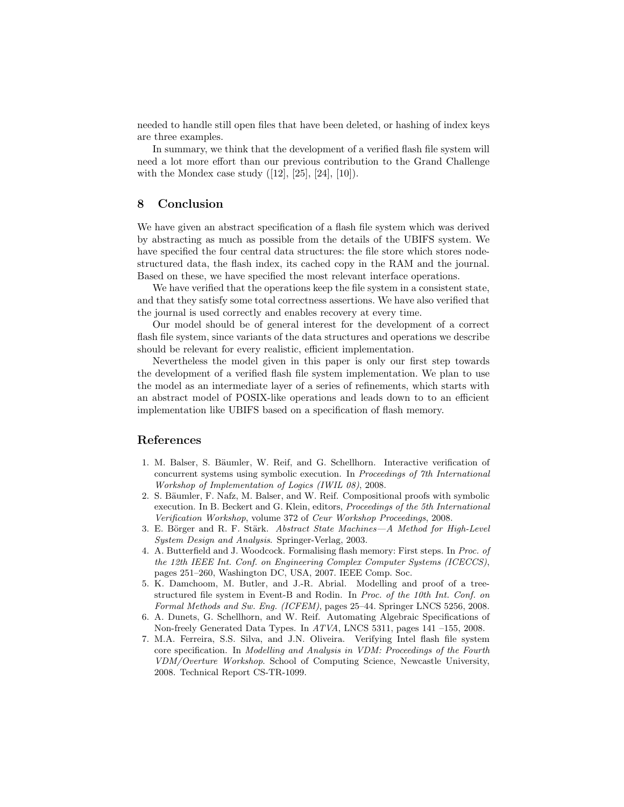needed to handle still open files that have been deleted, or hashing of index keys are three examples.

In summary, we think that the development of a verified flash file system will need a lot more effort than our previous contribution to the Grand Challenge with the Mondex case study  $([12], [25], [24], [10]).$  $([12], [25], [24], [10]).$  $([12], [25], [24], [10]).$  $([12], [25], [24], [10]).$  $([12], [25], [24], [10]).$  $([12], [25], [24], [10]).$  $([12], [25], [24], [10]).$  $([12], [25], [24], [10]).$  $([12], [25], [24], [10]).$ 

## <span id="page-14-3"></span>8 Conclusion

We have given an abstract specification of a flash file system which was derived by abstracting as much as possible from the details of the UBIFS system. We have specified the four central data structures: the file store which stores nodestructured data, the flash index, its cached copy in the RAM and the journal. Based on these, we have specified the most relevant interface operations.

We have verified that the operations keep the file system in a consistent state, and that they satisfy some total correctness assertions. We have also verified that the journal is used correctly and enables recovery at every time.

Our model should be of general interest for the development of a correct flash file system, since variants of the data structures and operations we describe should be relevant for every realistic, efficient implementation.

Nevertheless the model given in this paper is only our first step towards the development of a verified flash file system implementation. We plan to use the model as an intermediate layer of a series of refinements, which starts with an abstract model of POSIX-like operations and leads down to to an efficient implementation like UBIFS based on a specification of flash memory.

#### References

- <span id="page-14-5"></span>1. M. Balser, S. Bäumler, W. Reif, and G. Schellhorn. Interactive verification of concurrent systems using symbolic execution. In Proceedings of 7th International Workshop of Implementation of Logics (IWIL 08), 2008.
- <span id="page-14-6"></span>2. S. Bäumler, F. Nafz, M. Balser, and W. Reif. Compositional proofs with symbolic execution. In B. Beckert and G. Klein, editors, Proceedings of the 5th International Verification Workshop, volume 372 of Ceur Workshop Proceedings, 2008.
- <span id="page-14-4"></span>3. E. Börger and R. F. Stärk. Abstract State Machines—A Method for High-Level System Design and Analysis. Springer-Verlag, 2003.
- <span id="page-14-2"></span>4. A. Butterfield and J. Woodcock. Formalising flash memory: First steps. In Proc. of the 12th IEEE Int. Conf. on Engineering Complex Computer Systems (ICECCS), pages 251–260, Washington DC, USA, 2007. IEEE Comp. Soc.
- <span id="page-14-0"></span>5. K. Damchoom, M. Butler, and J.-R. Abrial. Modelling and proof of a treestructured file system in Event-B and Rodin. In Proc. of the 10th Int. Conf. on Formal Methods and Sw. Eng. (ICFEM), pages 25–44. Springer LNCS 5256, 2008.
- <span id="page-14-7"></span>6. A. Dunets, G. Schellhorn, and W. Reif. Automating Algebraic Specifications of Non-freely Generated Data Types. In ATVA, LNCS 5311, pages 141 –155, 2008.
- <span id="page-14-1"></span>7. M.A. Ferreira, S.S. Silva, and J.N. Oliveira. Verifying Intel flash file system core specification. In Modelling and Analysis in VDM: Proceedings of the Fourth VDM/Overture Workshop. School of Computing Science, Newcastle University, 2008. Technical Report CS-TR-1099.